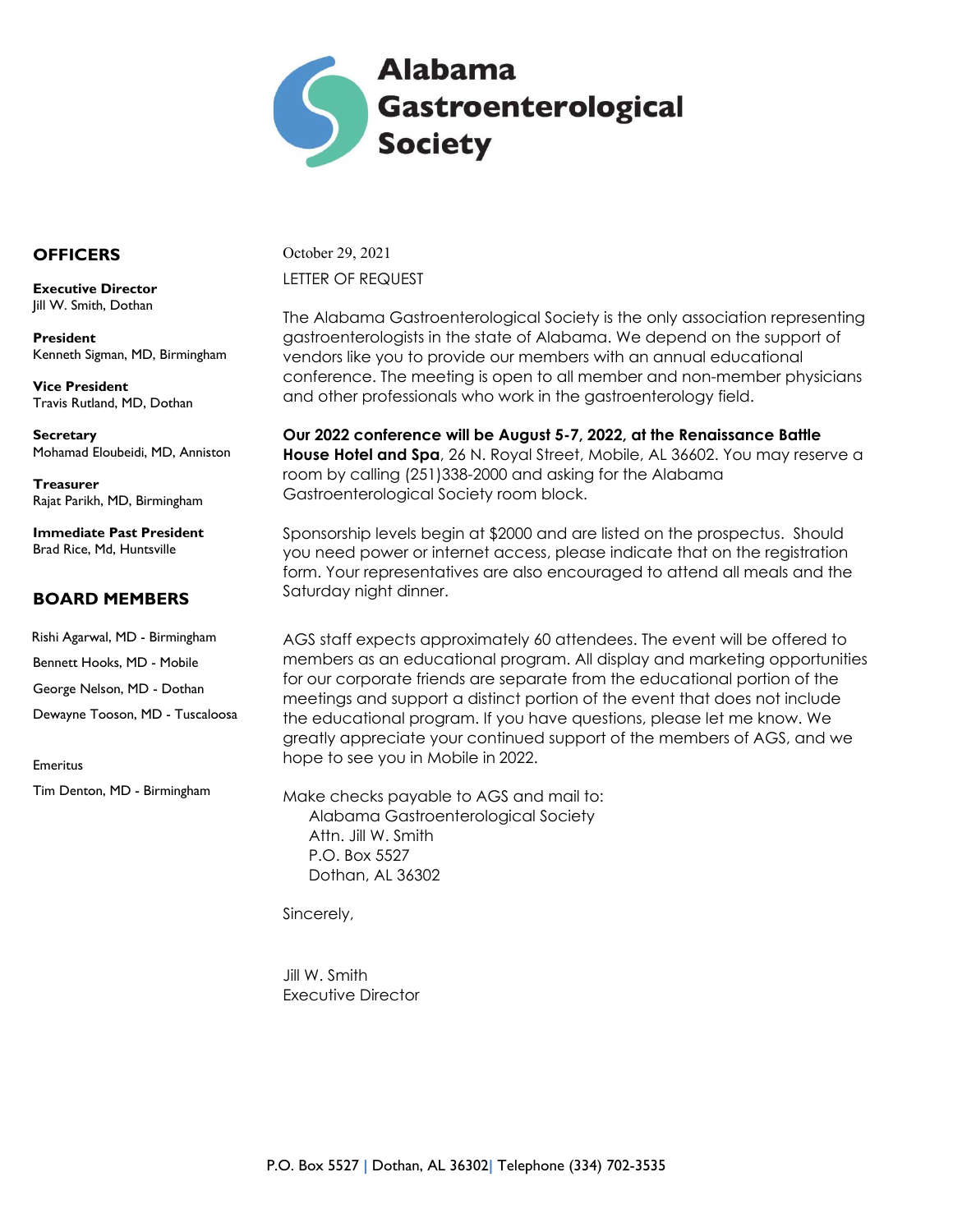

#### **OFFICERS**

**Executive Director** Jill W. Smith, Dothan

**President** Kenneth Sigman, MD, Birmingham

**Vice President** Travis Rutland, MD, Dothan

**Secretary**  Mohamad Eloubeidi, MD, Anniston

**Treasurer** Rajat Parikh, MD, Birmingham

**Immediate Past President** Brad Rice, Md, Huntsville

#### **BOARD MEMBERS**

 Rishi Agarwal, MD - Birmingham Bennett Hooks, MD - Mobile George Nelson, MD - Dothan Dewayne Tooson, MD - Tuscaloosa

Tim Denton, MD - Birmingham

Emeritus

October 29, 2021 LETTER OF REQUEST

The Alabama Gastroenterological Society is the only association representing gastroenterologists in the state of Alabama. We depend on the support of vendors like you to provide our members with an annual educational conference. The meeting is open to all member and non-member physicians and other professionals who work in the gastroenterology field.

**Our 2022 conference will be August 5-7, 2022, at the Renaissance Battle House Hotel and Spa**, 26 N. Royal Street, Mobile, AL 36602. You may reserve a room by calling (251)338-2000 and asking for the Alabama Gastroenterological Society room block.

Sponsorship levels begin at \$2000 and are listed on the prospectus. Should you need power or internet access, please indicate that on the registration form. Your representatives are also encouraged to attend all meals and the Saturday night dinner.

AGS staff expects approximately 60 attendees. The event will be offered to members as an educational program. All display and marketing opportunities for our corporate friends are separate from the educational portion of the meetings and support a distinct portion of the event that does not include the educational program. If you have questions, please let me know. We greatly appreciate your continued support of the members of AGS, and we hope to see you in Mobile in 2022.

Make checks payable to AGS and mail to: Alabama Gastroenterological Society Attn. Jill W. Smith P.O. Box 5527 Dothan, AL 36302

Sincerely,

Jill W. Smith Executive Director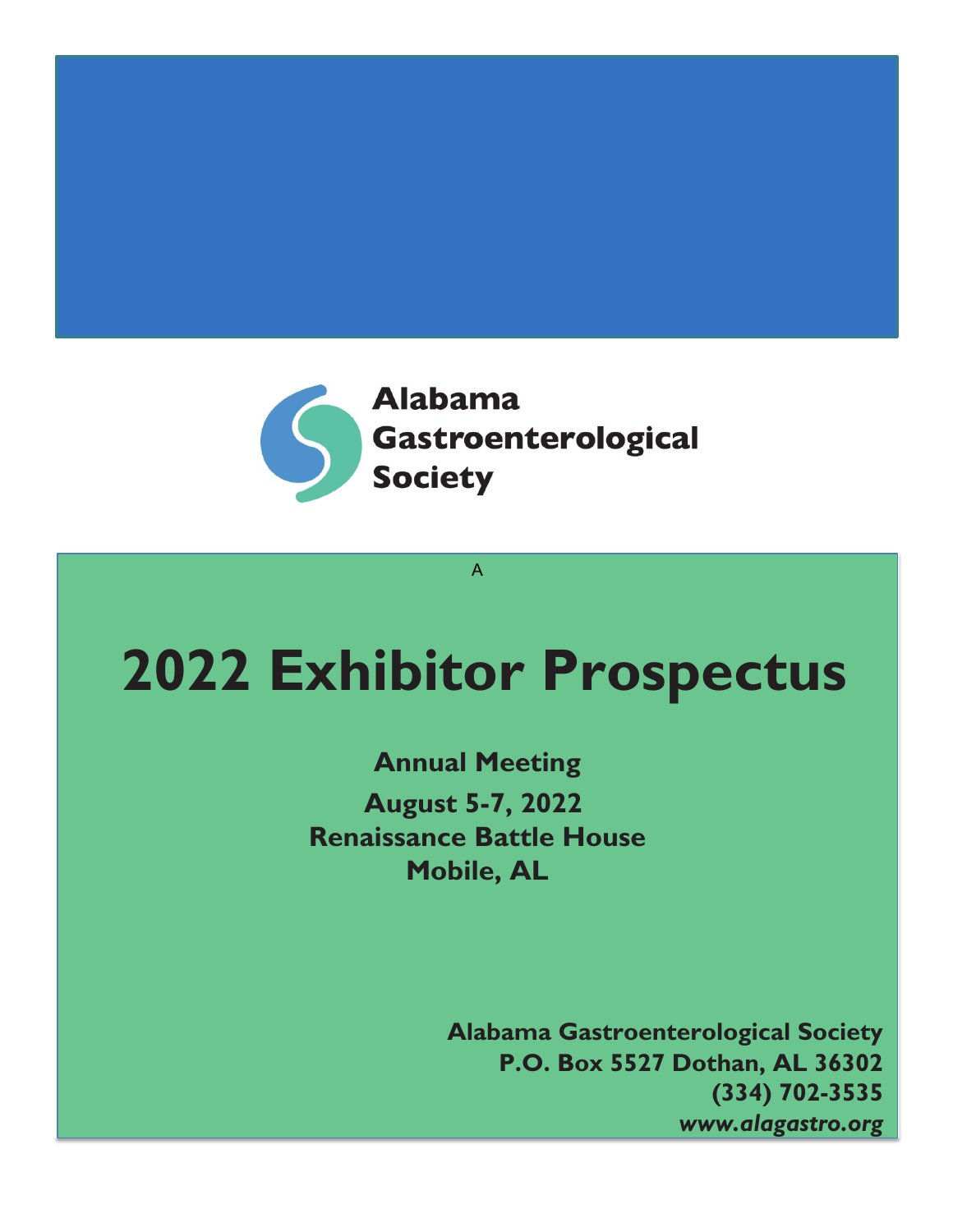

# **2022 Exhibitor Prospectus**

A

**Annual Meeting August 5-7, 2022 Renaissance Battle House Mobile, AL**

> **Alabama Gastroenterological Society P.O. Box 5527 Dothan, AL 36302 (334) 702-3535** *www.alagastro.org*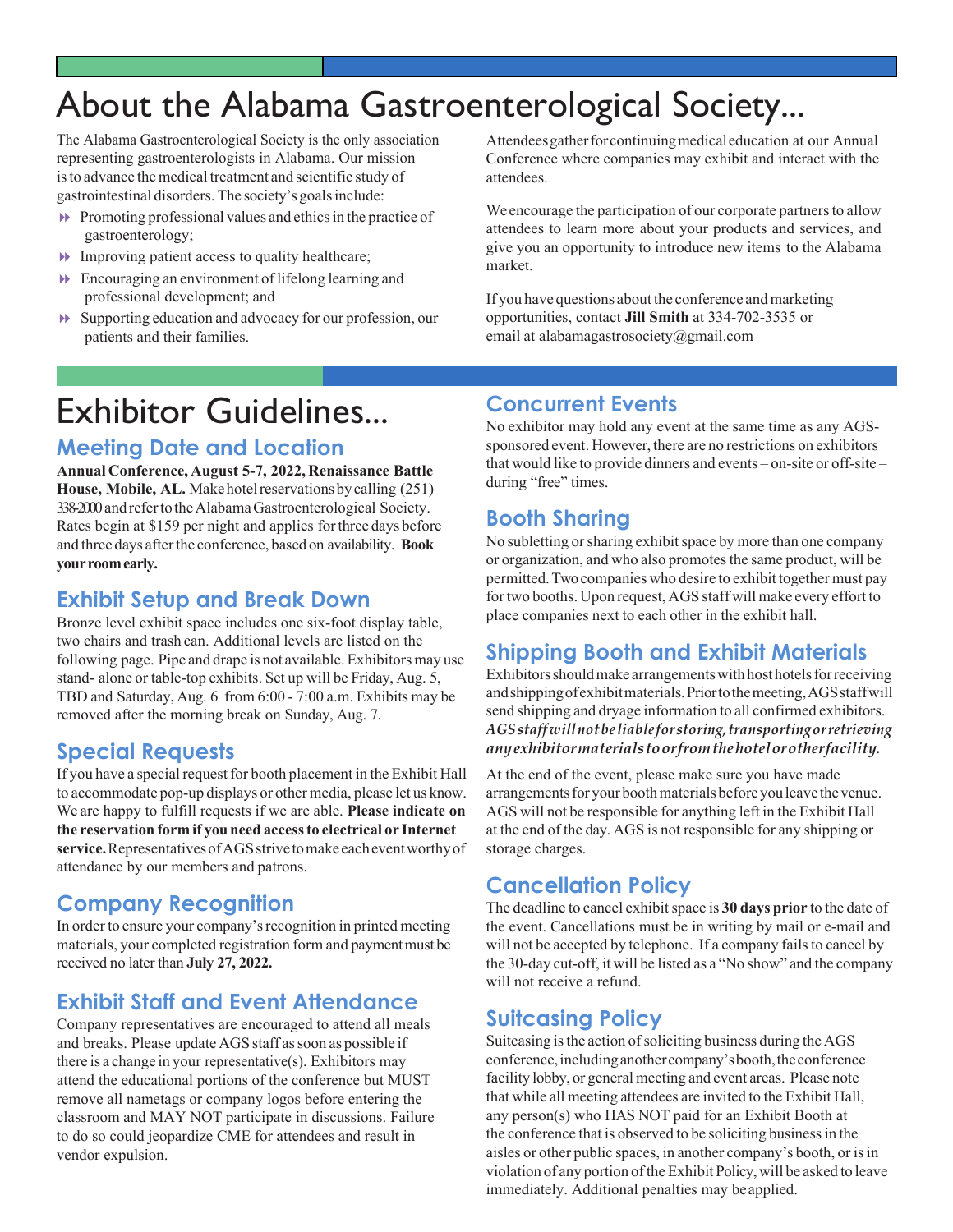# About the Alabama Gastroenterological Society...

The Alabama Gastroenterological Society is the only association representing gastroenterologists in Alabama. Our mission is to advance the medical treatment and scientific study of gastrointestinal disorders. The society's goals include:

- $\blacktriangleright$  Promoting professional values and ethics in the practice of gastroenterology;
- $\blacktriangleright$  Improving patient access to quality healthcare;
- $\blacktriangleright$  Encouraging an environment of lifelong learning and professional development; and
- 8 Supporting education and advocacy for our profession, our patients and their families.

Attendees gather for continuing medical education at our Annual Conference where companies may exhibit and interact with the attendees.

We encourage the participation of our corporate partners to allow attendees to learn more about your products and services, and give you an opportunity to introduce new items to the Alabama market.

If you have questions about the conference andmarketing opportunities, contact **Jill Smith** at 334-702-3535 or email at alabamagastrosociety@gmail.com

# Exhibitor Guidelines...

#### **Meeting Date and Location**

**Annual Conference, August 5-7, 2022, Renaissance Battle**  House, Mobile, AL. Make hotel reservations by calling (251) 338-2000 and referto theAlabamaGastroenterological Society. Rates begin at \$159 per night and applies forthree days before and three days afterthe conference, based on availability. **Book yourroomearly.**

#### **Exhibit Setup and Break Down**

Bronze level exhibit space includes one six-foot display table, two chairs and trash can. Additional levels are listed on the following page. Pipe and drape is not available. Exhibitors may use stand- alone or table-top exhibits. Set up will be Friday, Aug. 5, TBD and Saturday, Aug. 6 from 6:00 - 7:00 a.m. Exhibits may be removed after the morning break on Sunday, Aug. 7.

### **Special Requests**

If you have a special request for booth placement in the Exhibit Hall to accommodate pop-up displays or othermedia, please let us know. We are happy to fulfill requests if we are able. **Please indicate on the reservation form if youneed accessto electrical or Internet**  service. Representatives of AGS strive to make each event worthy of attendance by our members and patrons.

### **Company Recognition**

In order to ensure your company's recognition in printed meeting materials, your completed registration form and payment must be received no later than **July 27, 2022.**

### **Exhibit Staff and Event Attendance**

Company representatives are encouraged to attend all meals and breaks. Please update AGS staff as soon as possible if there is a change in your representative(s). Exhibitors may attend the educational portions of the conference but MUST remove all nametags or company logos before entering the classroom and MAY NOT participate in discussions. Failure to do so could jeopardize CME for attendees and result in vendor expulsion.

#### **Concurrent Events**

No exhibitor may hold any event at the same time as any AGSsponsored event. However, there are no restrictions on exhibitors that would like to provide dinners and events – on-site or off-site – during "free" times.

#### **Booth Sharing**

No subletting or sharing exhibit space by more than one company or organization, and who also promotes the same product, will be permitted.Twocompanies who desire to exhibit together must pay for two booths. Upon request, AGS staff will make every effort to place companies next to each other in the exhibit hall.

### **Shipping Booth and Exhibit Materials**

Exhibitors should make arrangements with host hotels for receiving andshippingofexhibitmaterials.Priortothemeeting,AGSstaffwill send shipping and dryage information to all confirmed exhibitors. *AGSstaffwillnotbe liable for storing,transportingorretrieving anyexhibitormaterialstoorfromthehotelorotherfacility.*

At the end of the event, please make sure you have made arrangements for your booth materials before you leave the venue. AGS will not be responsible for anything left in the Exhibit Hall at the end of the day. AGS is not responsible for any shipping or storage charges.

### **Cancellation Policy**

The deadline to cancel exhibit space is 30 days prior to the date of the event. Cancellations must be in writing by mail or e-mail and will not be accepted by telephone. If a company fails to cancel by the 30-day cut-off, it will be listed as a "No show" and the company will not receive a refund.

### **Suitcasing Policy**

Suitcasing is the action of soliciting business during the AGS conference, including another company's booth, the conference facility lobby, or general meeting and event areas. Please note that while all meeting attendees are invited to the Exhibit Hall, any person(s) who HAS NOT paid for an Exhibit Booth at the conference that is observed to be soliciting businessin the aisles or other public spaces, in another company's booth, or is in violation of any portion of the Exhibit Policy, will be asked to leave immediately. Additional penalties may beapplied.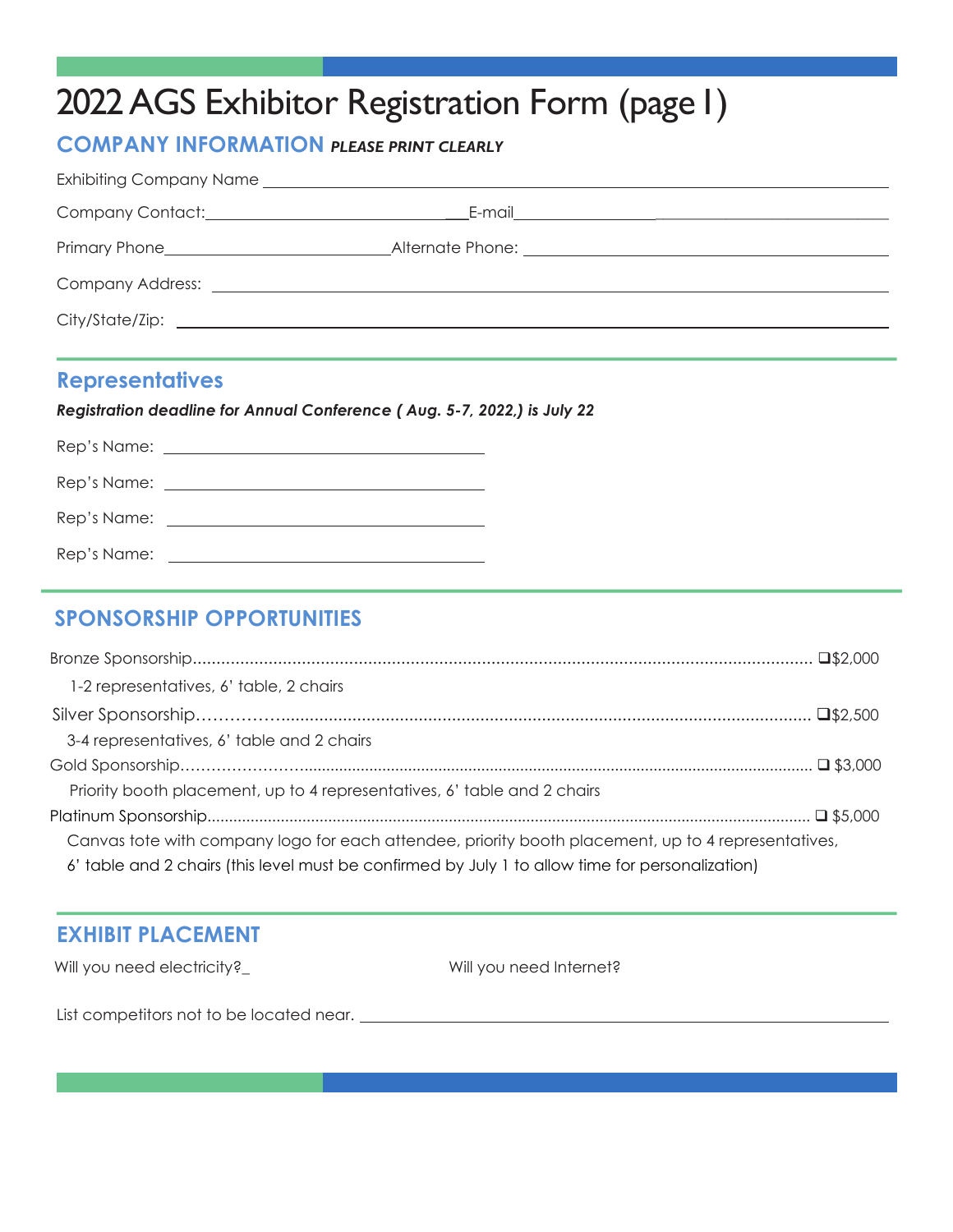# 2022 AGS Exhibitor Registration Form (page I)

### **COMPANY INFORMATION** *PLEASE PRINT CLEARLY*

#### **Representatives**

*Registration deadline for Annual Conference ( Aug. 5-7, 2022,) is July 22*

| Rep's Name: |  |
|-------------|--|

## **SPONSORSHIP OPPORTUNITIES**

| 1-2 representatives, 6' table, 2 chairs                                                             |  |
|-----------------------------------------------------------------------------------------------------|--|
|                                                                                                     |  |
| 3-4 representatives, 6' table and 2 chairs                                                          |  |
|                                                                                                     |  |
| Priority booth placement, up to 4 representatives, 6' table and 2 chairs                            |  |
|                                                                                                     |  |
| Canvas tote with company logo for each attendee, priority booth placement, up to 4 representatives, |  |
| 6' table and 2 chairs (this level must be confirmed by July 1 to allow time for personalization)    |  |

### **EXHIBIT PLACEMENT**

Will you need electricity?\_ Will you need Internet?

List competitors not to be located near.